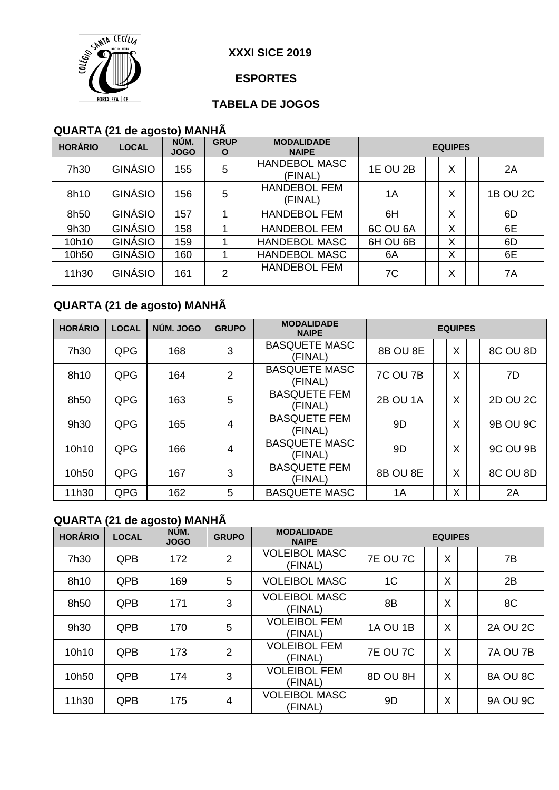

#### **ESPORTES**

#### **TABELA DE JOGOS**

#### **QUARTA (21 de agosto) MANHÃ**

| <b>HORÁRIO</b> | <b>LOCAL</b>   | NÚM.<br><b>JOGO</b> | <b>GRUP</b><br>O | <b>MODALIDADE</b><br><b>NAIPE</b> | <b>EQUIPES</b>  |   |   |  |                 |  |
|----------------|----------------|---------------------|------------------|-----------------------------------|-----------------|---|---|--|-----------------|--|
| 7h30           | <b>GINÁSIO</b> | 155                 | 5                | <b>HANDEBOL MASC</b><br>(FINAL)   | <b>1E OU 2B</b> |   | X |  | 2A              |  |
| 8h10           | <b>GINÁSIO</b> | 156                 | 5                | <b>HANDEBOL FEM</b><br>(FINAL)    | 1A              | X |   |  | <b>1B OU 2C</b> |  |
| 8h50           | GINÁSIO        | 157                 |                  | <b>HANDEBOL FEM</b>               | 6H              |   | X |  | 6D              |  |
| 9h30           | <b>GINÁSIO</b> | 158                 |                  | <b>HANDEBOL FEM</b>               | 6C OU 6A        |   | X |  | 6E              |  |
| 10h10          | <b>GINÁSIO</b> | 159                 |                  | HANDEBOL MASC                     | 6H OU 6B        |   | X |  | 6D              |  |
| 10h50          | <b>GINÁSIO</b> | 160                 |                  | <b>HANDEBOL MASC</b>              | 6A              |   | X |  | 6E              |  |
| 11h30          | GINÁSIO        | 161                 | 2                | <b>HANDEBOL FEM</b>               | 7C              |   | X |  | 7A              |  |

# **QUARTA (21 de agosto) MANHÃ**

| <b>HORÁRIO</b> | <b>LOCAL</b> | NÚM. JOGO | <b>GRUPO</b>   | <b>MODALIDADE</b><br><b>NAIPE</b> | <b>EQUIPES</b>  |  |   |  |                 |  |
|----------------|--------------|-----------|----------------|-----------------------------------|-----------------|--|---|--|-----------------|--|
| 7h30           | QPG          | 168       | 3              | <b>BASQUETE MASC</b><br>(FINAL)   | 8B OU 8E        |  | X |  | 8C OU 8D        |  |
| 8h10           | QPG          | 164       | $\overline{2}$ | <b>BASQUETE MASC</b><br>(FINAL)   | <b>7C OU 7B</b> |  | X |  | 7D              |  |
| 8h50           | QPG          | 163       | 5              | <b>BASQUETE FEM</b><br>(FINAL)    | 2B OU 1A        |  | X |  | 2D OU 2C        |  |
| 9h30           | QPG          | 165       | 4              | <b>BASQUETE FEM</b><br>(FINAL)    | 9D              |  | X |  | <b>9B OU 9C</b> |  |
| 10h10          | QPG          | 166       | $\overline{4}$ | <b>BASQUETE MASC</b><br>(FINAL)   | 9D              |  | X |  | 9C OU 9B        |  |
| 10h50          | QPG          | 167       | 3              | <b>BASQUETE FEM</b><br>(FINAL)    | 8B OU 8E        |  | X |  | 8C OU 8D        |  |
| 11h30          | QPG          | 162       | 5              | <b>BASQUETE MASC</b>              | 1A              |  | X |  | 2A              |  |

# **QUARTA (21 de agosto) MANHÃ**

| <b>HORÁRIO</b> | <b>LOCAL</b> | NÚM.<br><b>JOGO</b> | <b>GRUPO</b>   | <b>MODALIDADE</b><br><b>NAIPE</b> | <b>EQUIPES</b>  |  |   |  |                 |
|----------------|--------------|---------------------|----------------|-----------------------------------|-----------------|--|---|--|-----------------|
| 7h30           | <b>QPB</b>   | 172                 | 2              | <b>VOLEIBOL MASC</b><br>(FINAL)   | <b>7E OU 7C</b> |  | X |  | 7B              |
| 8h10           | <b>QPB</b>   | 169                 | 5              | <b>VOLEIBOL MASC</b>              | 1 <sup>C</sup>  |  | X |  | 2B              |
| 8h50           | <b>QPB</b>   | 171                 | 3              | <b>VOLEIBOL MASC</b><br>(FINAL)   | 8B              |  | X |  | 8C              |
| 9h30           | <b>QPB</b>   | 170                 | 5              | <b>VOLEIBOL FEM</b><br>(FINAL)    | <b>1A OU 1B</b> |  | X |  | <b>2A OU 2C</b> |
| 10h10          | <b>QPB</b>   | 173                 | $\overline{2}$ | <b>VOLEIBOL FEM</b><br>(FINAL)    | <b>7E OU 7C</b> |  | X |  | 7A OU 7B        |
| 10h50          | <b>QPB</b>   | 174                 | 3              | <b>VOLEIBOL FEM</b><br>(FINAL)    | 8D OU 8H        |  | X |  | 8A OU 8C        |
| 11h30          | <b>QPB</b>   | 175                 | 4              | <b>VOLEIBOL MASC</b><br>(FINAL)   | 9D              |  | X |  | <b>9A OU 9C</b> |